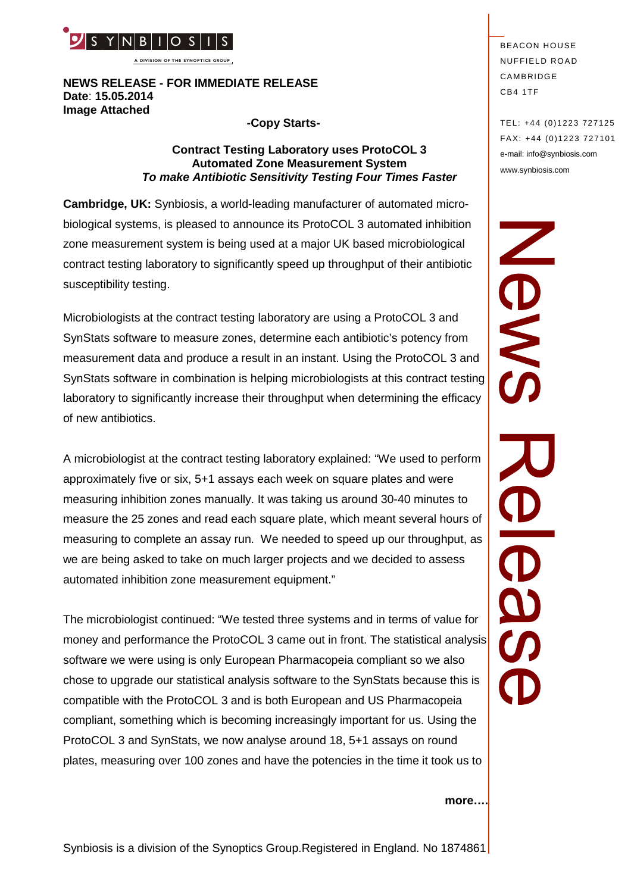

**A DIVISION OF THE SYNOPTICS GROUP**

## **NEWS RELEASE - FOR IMMEDIATE RELEASE Date**: **15.05.2014 Image Attached**

## **-Copy Starts-**

## **Contract Testing Laboratory uses ProtoCOL 3 Automated Zone Measurement System** *To make Antibiotic Sensitivity Testing Four Times Faster*

**Cambridge, UK:** Synbiosis, a world-leading manufacturer of automated microbiological systems, is pleased to announce its ProtoCOL 3 automated inhibition zone measurement system is being used at a major UK based microbiological contract testing laboratory to significantly speed up throughput of their antibiotic susceptibility testing.

Microbiologists at the contract testing laboratory are using a ProtoCOL 3 and SynStats software to measure zones, determine each antibiotic's potency from measurement data and produce a result in an instant. Using the ProtoCOL 3 and SynStats software in combination is helping microbiologists at this contract testing laboratory to significantly increase their throughput when determining the efficacy of new antibiotics.

A microbiologist at the contract testing laboratory explained: "We used to perform approximately five or six, 5+1 assays each week on square plates and were measuring inhibition zones manually. It was taking us around 30-40 minutes to measure the 25 zones and read each square plate, which meant several hours of measuring to complete an assay run. We needed to speed up our throughput, as we are being asked to take on much larger projects and we decided to assess automated inhibition zone measurement equipment."

The microbiologist continued: "We tested three systems and in terms of value for money and performance the ProtoCOL 3 came out in front. The statistical analysis software we were using is only European Pharmacopeia compliant so we also chose to upgrade our statistical analysis software to the SynStats because this is compatible with the ProtoCOL 3 and is both European and US Pharmacopeia compliant, something which is becoming increasingly important for us. Using the ProtoCOL 3 and SynStats, we now analyse around 18, 5+1 assays on round plates, measuring over 100 zones and have the potencies in the time it took us to

**BEACON HOUSE NUFFIELD ROAD** CAMBRIDGE CB4 1TF

TEL: +44 (0)1223 727125 FA X: +44 (0)1223 727101 e-mail: info@synbiosis.com www.synbiosis.com

SME CON

#### **more….**